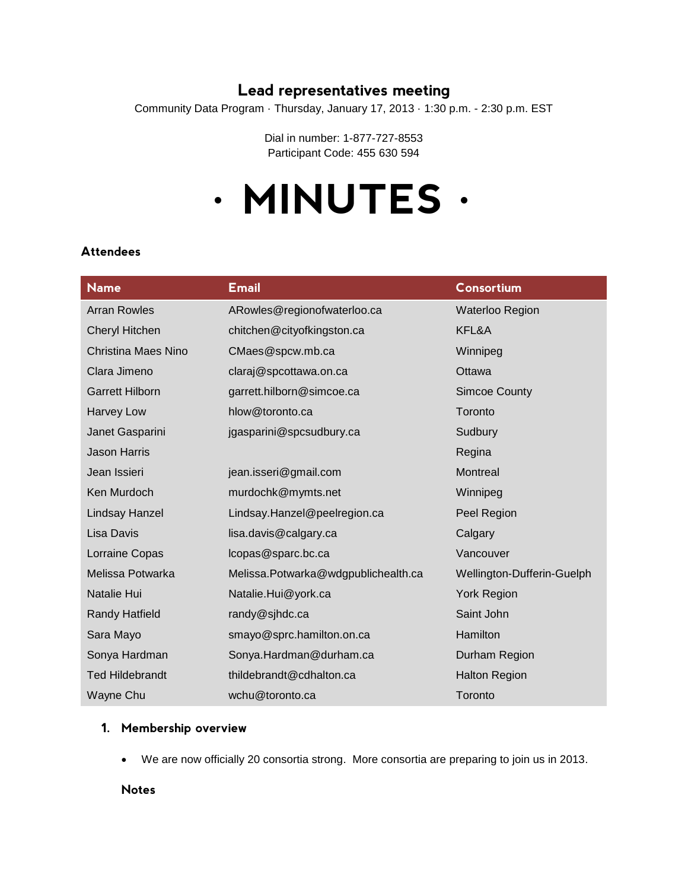# **Lead representatives meeting**

Community Data Program · Thursday, January 17, 2013 · 1:30 p.m. - 2:30 p.m. EST

Dial in number: 1-877-727-8553 Participant Code: 455 630 594

# **· MINUTES ·**

# **Name Email Consortium** Arran Rowles ARowles@regionofwaterloo.ca Waterloo Region Cheryl Hitchen chitchen@cityofkingston.ca KFL&A Christina Maes Nino CMaes@spcw.mb.ca Winnipeg Clara Jimeno claraj@spcottawa.on.ca Clara Ottawa Garrett Hilborn **garrett.hilborn@simcoe.ca** Simcoe County Harvey Low hlow@toronto.ca Toronto Janet Gasparini igasparini@spcsudbury.ca Sudbury Jason Harris **Network and Structure Community** and Community and Community and Community Regina Jean Issieri in alleen.isseri@gmail.com in alleen Montreal Ken Murdoch murdochk@mymts.net Winnipeg Lindsay Hanzel Lindsay.Hanzel@peelregion.ca Peel Region Lisa Davis lisa.davis@calgary.ca Calgary Lorraine Copas lcopas@sparc.bc.ca Vancouver Melissa Potwarka Melissa.Potwarka@wdgpublichealth.ca Wellington-Dufferin-Guelph Natalie Hui Natalie.Hui@york.ca York Region Randy Hatfield **randy@sihdc.ca** Saint John Sara Mayo smayo@sprc.hamilton.on.ca Hamilton.ca Sonya Hardman Sonya.Hardman@durham.ca Durham Region Ted Hildebrandt thildebrandt@cdhalton.ca Halton Region Wayne Chu wchu@toronto.ca Toronto Chu Toronto

#### **Attendees**

#### **1. Membership overview**

We are now officially 20 consortia strong. More consortia are preparing to join us in 2013.

**Notes**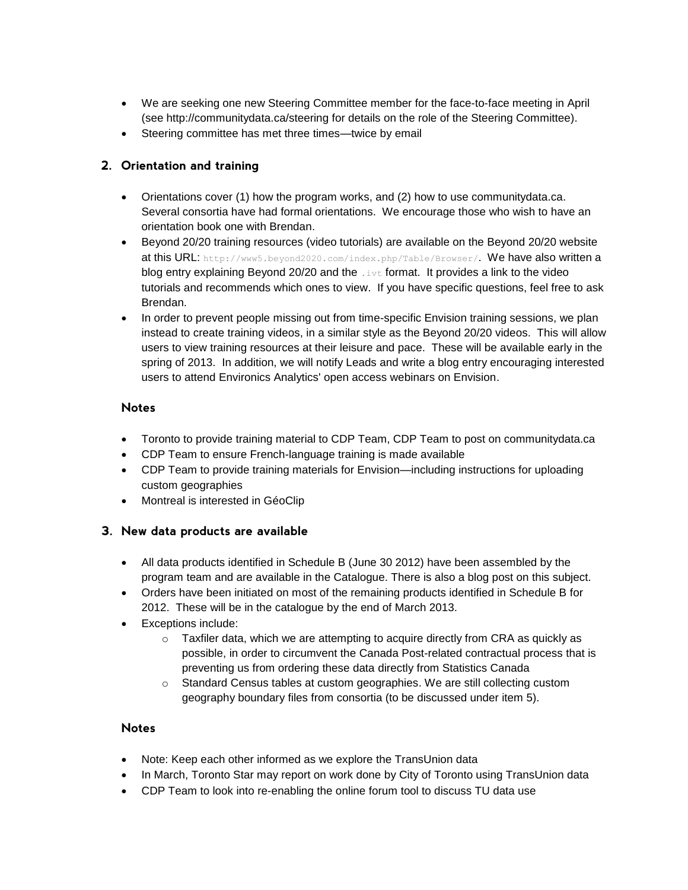- We are seeking one new Steering Committee member for the face-to-face meeting in April (see http://communitydata.ca/steering for details on the role of the Steering Committee).
- Steering committee has met three times—twice by email

#### **2. Orientation and training**

- Orientations cover (1) how the program works, and (2) how to use communitydata.ca. Several consortia have had formal orientations. We encourage those who wish to have an orientation book one with Brendan.
- Beyond 20/20 training resources (video tutorials) are available on the Beyond 20/20 website at this URL: http://www5.beyond2020.com/index.php/Table/Browser/. We have also written a blog entry explaining Beyond 20/20 and the  $\pm \nu \pm$  format. It provides a link to the video tutorials and recommends which ones to view. If you have specific questions, feel free to ask Brendan.
- In order to prevent people missing out from time-specific Envision training sessions, we plan instead to create training videos, in a similar style as the Beyond 20/20 videos. This will allow users to view training resources at their leisure and pace. These will be available early in the spring of 2013. In addition, we will notify Leads and write a blog entry encouraging interested users to attend Environics Analytics' open access webinars on Envision.

#### **Notes**

- Toronto to provide training material to CDP Team, CDP Team to post on communitydata.ca
- CDP Team to ensure French-language training is made available
- CDP Team to provide training materials for Envision—including instructions for uploading custom geographies
- Montreal is interested in GéoClip

#### **3. New data products are available**

- All data products identified in Schedule B (June 30 2012) have been assembled by the program team and are available in the Catalogue. There is also a blog post on this subject.
- Orders have been initiated on most of the remaining products identified in Schedule B for 2012. These will be in the catalogue by the end of March 2013.
- Exceptions include:
	- $\circ$  Taxfiler data, which we are attempting to acquire directly from CRA as quickly as possible, in order to circumvent the Canada Post-related contractual process that is preventing us from ordering these data directly from Statistics Canada
	- o Standard Census tables at custom geographies. We are still collecting custom geography boundary files from consortia (to be discussed under item 5).

#### **Notes**

- Note: Keep each other informed as we explore the TransUnion data
- In March, Toronto Star may report on work done by City of Toronto using TransUnion data
- CDP Team to look into re-enabling the online forum tool to discuss TU data use